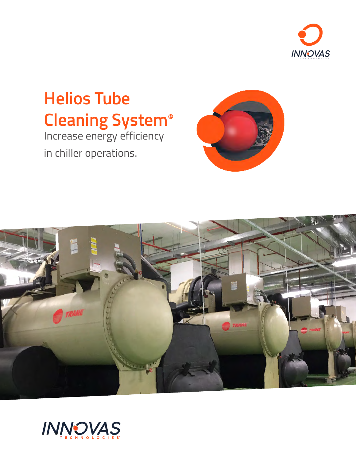

# **Helios Tube Cleaning System®**

Increase energy efficiency in chiller operations.





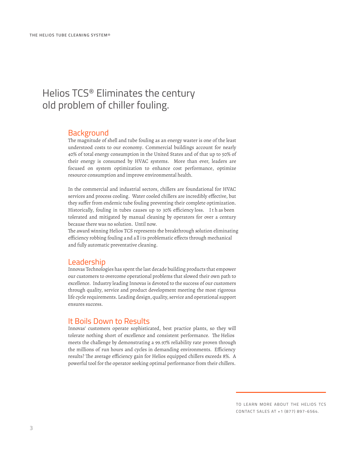# Helios TCS® Eliminates the century old problem of chiller fouling.

### Background

The magnitude of shell and tube fouling as an energy waster is one of the least understood costs to our economy. Commercial buildings account for nearly 40% of total energy consumption in the United States and of that up to 50% of their energy is consumed by HVAC systems. More than ever, leaders are focused on system optimization to enhance cost performance, optimize resource consumption and improve environmental health.

In the commercial and industrial sectors, chillers are foundational for HVAC services and process cooling. Water cooled chillers are incredibly effective, but they suffer from endemic tube fouling preventing their complete optimization. Historically, fouling in tubes causes up to 30% efficiency loss. I t h as been tolerated and mitigated by manual cleaning by operators for over a century because there was no solution. Until now.

The award winning Helios TCS represents the breakthrough solution eliminating efficiency robbing fouling and a ll its problematic effects through mechanical and fully automatic preventative cleaning.

### Leadership

Innovas Technologies has spent the last decade building products that empower our customers to overcome operational problems that slowed their own path to excellence. Industry leading Innovas is devoted to the success of our customers through quality, service and product development meeting the most rigorous life cycle requirements. Leading design, quality, service and operational support ensures success.

### It Boils Down to Results

Innovas' customers operate sophisticated, best practice plants, so they will tolerate nothing short of excellence and consistent performance. The Helios meets the challenge by demonstrating a 99.97% reliability rate proven through the millions of run hours and cycles in demanding environments. Efficiency results? The average efficiency gain for Helios equipped chillers exceeds 8%. A powerful tool for the operator seeking optimal performance from their chillers.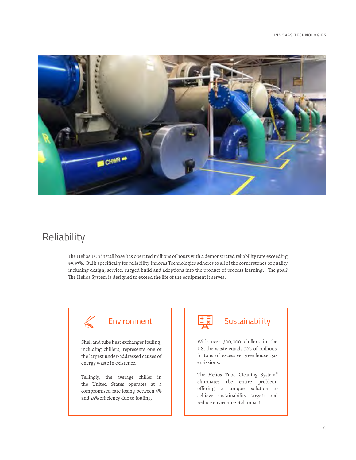

# Reliability

The Helios TCS install base has operated millions of hours with a demonstrated reliability rate exceeding 99.97%. Built specifically for reliability Innovas Technologies adheres to all of the cornerstones of quality including design, service, rugged build and adoptions into the product of process learning. The goal? The Helios System is designed to exceed the life of the equipment it serves.



Environment

Shell and tube heat exchanger fouling, including chillers, represents one of the largest under-addressed causes of energy waste in existence.

Tellingly, the average chiller in the United States operates at a compromised rate losing between 5% and 25% efficiency due to fouling.



# **Sustainability**

With over 300,000 chillers in the US, the waste equals 10's of millions' in tons of excessive greenhouse gas emissions.

The Helios Tube Cleaning System® eliminates the entire problem, offering a unique solution to achieve sustainability targets and reduce environmental impact.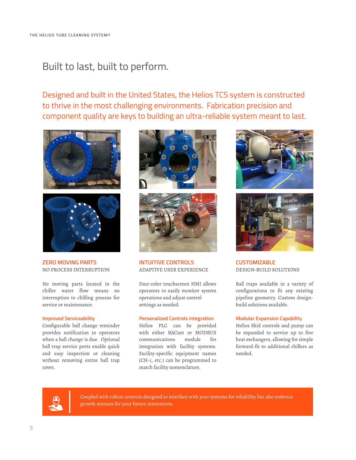# Built to last, built to perform.

Designed and built in the United States, the Helios TCS system is constructed to thrive in the most challenging environments. Fabrication precision and component quality are keys to building an ultra-reliable system meant to last.





**ZERO MOVING PARTS** NO PROCESS INTERRUPTION

No moving parts located in the chiller water flow means no interruption to chilling process for service or maintenance.

#### **Improved Serviceability**

Configurable ball change reminder provides notification to operators when a ball change is due. Optional ball trap service ports enable quick and easy inspection or cleaning without removing entire ball trap cover.





**INTUITIVE CONTROLS** ADAPTIVE USER EXPERIENCE

Four-color touchscreen HMI allows operators to easily monitor system operations and adjust control settings as needed.

#### **Personalized Controls integration**

Helios PLC can be provided with either BACnet or MODBUS communications module for integration with facility systems. Facility-specific equipment names (CH-1, etc.) can be programmed to match facility nomenclature.





**CUSTOMIZABLE** DESIGN-BUILD SOLUTIONS

Ball traps available in a variety of configurations to fit any existing pipeline geometry. Custom designbuild solutions available.

#### **Modular Expansion Capability**

Helios Skid controls and pump can be expanded to service up to five heat exchangers, allowing for simple forward-fit to additional chillers as needed.



Coupled with robust controls designed to interface with your systems for reliability but also embrace growth avenues for your future innovations.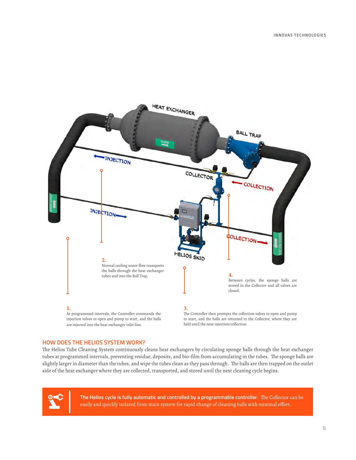

### **HOW DOES THE HELIOS SYSTEM WORK?**

The Helios Tube Cleaning System continuously cleans heat exchangers by circulating sponge balls through the heat exchanger tubes at programmed intervals, preventing residue, deposits, and bio-film from accumulating in the tubes. The sponge balls are slightly larger in diameter than the tubes, and wipe the tubes clean as they pass through. The balls are then trapped on the outlet side of the heat exchanger where they are collected, transported, and stored until the next cleaning cycle begins.

 **The Helios cycle is fully automatic and controlled by a programmable controller**. The Collector can be easily and quickly isolated from main system for rapid change of cleaning balls with minimal effort.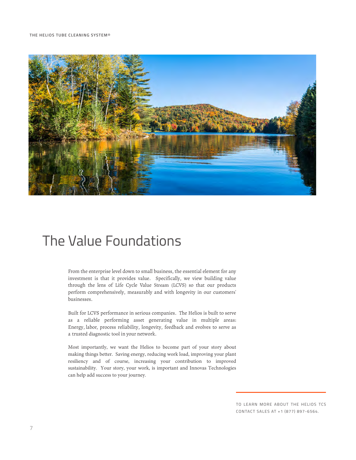#### **THE HELIOS TUBE CLEANING SYSTEM**®



# The Value Foundations

From the enterprise level down to small business, the essential element for any investment is that it provides value. Specifically, we view building value through the lens of Life Cycle Value Stream (LCVS) so that our products perform comprehensively, measurably and with longevity in our customers' businesses.

Built for LCVS performance in serious companies. The Helios is built to serve as a reliable performing asset generating value in multiple areas: Energy, labor, process reliability, longevity, feedback and evolves to serve as a trusted diagnostic tool in your network.

Most importantly, we want the Helios to become part of your story about making things better. Saving energy, reducing work load, improving your plant resiliency and of course, increasing your contribution to improved sustainability. Your story, your work, is important and Innovas Technologies can help add success to your journey.

> TO LEARN MORE ABOUT THE HELIOS TCS CONTACT SALES AT +1 (877) 897-6564.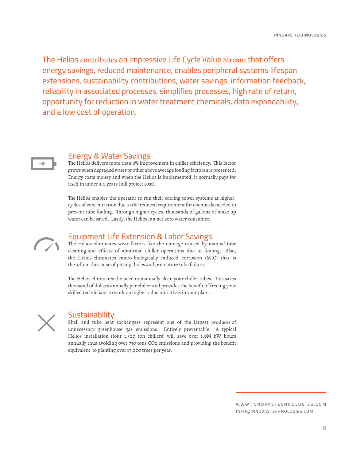The Helios contributes an impressive Life Cycle Value Stream that offers energy savings, reduced maintenance, enables peripheral systems lifespan extensions, sustainability contributions, water savings, information feedback, reliability in associated processes, simplifies processes, high rate of return, opportunity for reduction in water treatment chemicals, data expandability, and a low cost of operation.



## Energy & Water Savings

The Helios delivers more than 8% improvement in chiller efficiency. This factor grows when degraded water or other above average fouling factors are presented. Energy costs money and when the Helios is implemented, it normally pays for itself in under 3.0 years (full project cost).

The Helios enables the operator to run their cooling tower systems at higher cycles of concentration due to the reduced requirement for chemicals needed to prevent tube fouling. Through higher cycles, thousands of gallons of make up water can be saved. Lastly, the Helios is a net zero water consumer.



### Equipment Life Extension & Labor Savings

The Helios eliminates wear factors like the damage caused by manual tube cleaning and effects of abnormal chiller operations due to fouling. Also, the Helios eliminates micro-biologically induced corrosion (MIC) that is the often the cause of pitting, holes and premature tube failure.

The Helios eliminates the need to manually clean your chiller tubes. This saves thousand of dollars annually per chiller and provides the benefit of freeing your skilled technicians to work on higher value initiatives in your plant.



### **Sustainability**

Shell and tube heat exchangers represent one of the largest producer of unnecessary greenhouse gas emissions. Entirely preventable. A typical Helios installation (four 1,500 ton chillers) will save over 1.0M kW hours annually thus avoiding over 730 tons CO2 emissions and providing the benefit equivalent to planting over 17,000 trees per year.

> W W W . I N N O V A S T E C H N O L O G I E S . C O M INFO@INNOVASTECHNOLOGIES.COM